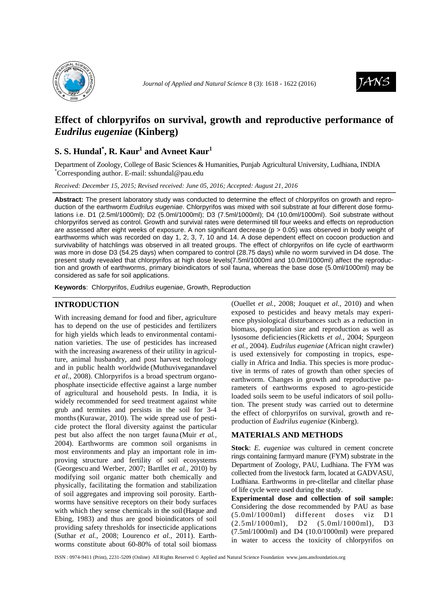



# **Effect of chlorpyrifos on survival, growth and reproductive performance of**  *Eudrilus eugeniae* **(Kinberg)**

## **S. S. Hundal\* , R. Kaur<sup>1</sup> and Avneet Kaur<sup>1</sup>**

Department of Zoology, College of Basic Sciences & Humanities, Punjab Agricultural University, Ludhiana, INDIA \*Corresponding author. E-mail: sshundal@pau.edu

*Received: December 15, 2015; Revised received: June 05, 2016; Accepted: August 21, 2016*

**Abstract:** The present laboratory study was conducted to determine the effect of chlorpyrifos on growth and reproduction of the earthworm Eudrilus eugeniae. Chlorpyrifos was mixed with soil substrate at four different dose formulations i.e. D1 (2.5ml/1000ml); D2 (5.0ml/1000ml); D3 (7.5ml/1000ml); D4 (10.0ml/1000ml). Soil substrate without chlorpyrifos served as control. Growth and survival rates were determined till four weeks and effects on reproduction are assessed after eight weeks of exposure. A non significant decrease (p > 0.05) was observed in body weight of earthworms which was recorded on day 1, 2, 3, 7, 10 and 14. A dose dependent effect on cocoon production and survivability of hatchlings was observed in all treated groups. The effect of chlorpyrifos on life cycle of earthworm was more in dose D3 (54.25 days) when compared to control (28.75 days) while no worm survived in D4 dose. The present study revealed that chlorpyrifos at high dose levels(7.5ml/1000ml and 10.0ml/1000ml) affect the reproduction and growth of earthworms, primary bioindicators of soil fauna, whereas the base dose (5.0ml/1000ml) may be considered as safe for soil applications.

**Keywords**: Chlorpyrifos, Eudrilus eugeniae, Growth, Reproduction

## **INTRODUCTION**

With increasing demand for food and fiber, agriculture has to depend on the use of pesticides and fertilizers for high yields which leads to environmental contamination varieties. The use of pesticides has increased with the increasing awareness of their utility in agriculture, animal husbandry, and post harvest technology and in public health worldwide (Muthuviveganandavel *et al.,* 2008). Chlorpyrifos is a broad spectrum organophosphate insecticide effective against a large number of agricultural and household pests. In India, it is widely recommended for seed treatment against white grub and termites and persists in the soil for 3-4 months(Kurawar, 2010). The wide spread use of pesticide protect the floral diversity against the particular pest but also affect the non target fauna (Muir *et al.,* 2004). Earthworms are common soil organisms in most environments and play an important role in improving structure and fertility of soil ecosystems (Georgescu and Werber, 2007; Bartllet *et al.,* 2010) by modifying soil organic matter both chemically and physically, facilitating the formation and stabilization of soil aggregates and improving soil porosity. Earthworms have sensitive receptors on their body surfaces with which they sense chemicals in the soil(Haque and Ebing, 1983) and thus are good bioindicators of soil providing safety thresholds for insecticide applications (Suthar *et al.*, 2008; Lourenco *et al.,* 2011). Earthworms constitute about 60-80% of total soil biomass

(Ouellet *et al.,* 2008; Jouquet *et al.,* 2010) and when exposed to pesticides and heavy metals may experience physiological disturbances such as a reduction in biomass, population size and reproduction as well as lysosome deficiencies(Ricketts *et al.,* 2004; Spurgeon *et al.,* 2004). *Eudrilus eugeniae* (African night crawler) is used extensively for composting in tropics, especially in Africa and India. This species is more productive in terms of rates of growth than other species of earthworm. Changes in growth and reproductive parameters of earthworms exposed to agro-pesticide loaded soils seem to be useful indicators of soil pollution. The present study was carried out to determine the effect of chlorpyrifos on survival, growth and reproduction of *Eudrilus eugeniae* (Kinberg).

## **MATERIALS AND METHODS**

**Stock**: *E. eugeniae* was cultured in cement concrete rings containing farmyard manure (FYM) substrate in the Department of Zoology, PAU, Ludhiana. The FYM was collected from the livestock farm, located at GADVASU, Ludhiana. Earthworms in pre-clitellar and clitellar phase of life cycle were used during the study.

**Experimental dose and collection of soil sample:**  Considering the dose recommended by PAU as base (5.0ml/1000ml) different doses viz D1 (2.5ml/1000ml), D2 (5.0ml/1000ml), D3 (7.5ml/1000ml) and D4 (10.0/1000ml) were prepared in water to access the toxicity of chlorpyrifos on

ISSN : 0974-9411 (Print), 2231-5209 (Online) All Rights Reserved © Applied and Natural Science Foundation www.jans.ansfoundation.org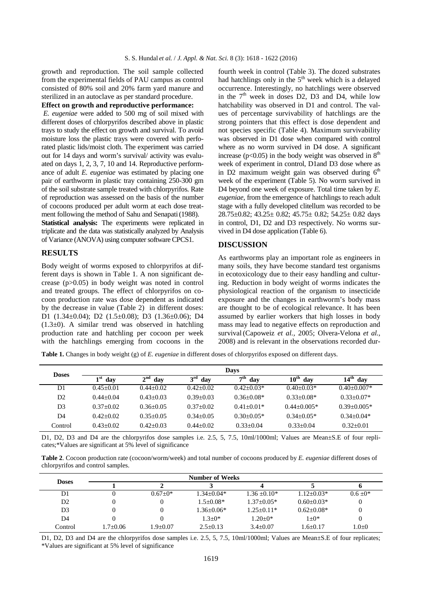growth and reproduction. The soil sample collected from the experimental fields of PAU campus as control consisted of 80% soil and 20% farm yard manure and sterilized in an autoclave as per standard procedure.

#### **Effect on growth and reproductive performance:**

 *E. eugeniae* were added to 500 mg of soil mixed with different doses of chlorpyrifos described above in plastic trays to study the effect on growth and survival. To avoid moisture loss the plastic trays were covered with perforated plastic lids/moist cloth. The experiment was carried out for 14 days and worm's survival/ activity was evaluated on days 1, 2, 3, 7, 10 and 14. Reproductive performance of adult *E. eugeniae* was estimated by placing one pair of earthworm in plastic tray containing 250-300 gm of the soil substrate sample treated with chlorpyrifos. Rate of reproduction was assessed on the basis of the number of cocoons produced per adult worm at each dose treatment following the method of Sahu and Senapati(1988). **Statistical analysis:** The experiments were replicated in triplicate and the data was statistically analyzed by Analysis of Variance (ANOVA) using computer software CPCS1.

#### **RESULTS**

Body weight of worms exposed to chlorpyrifos at different days is shown in Table 1. A non significant decrease (p>0.05) in body weight was noted in control and treated groups. The effect of chlorpyrifos on cocoon production rate was dose dependent as indicated by the decrease in value (Table 2) in different doses: D1 (1.34±0.04); D2 (1.5±0.08); D3 (1.36±0.06); D4  $(1.3\pm0)$ . A similar trend was observed in hatchling production rate and hatchling per cocoon per week with the hatchlings emerging from cocoons in the

fourth week in control (Table 3). The dozed substrates had hatchlings only in the  $5<sup>th</sup>$  week which is a delayed occurrence. Interestingly, no hatchlings were observed in the  $7<sup>th</sup>$  week in doses D2, D3 and D4, while low hatchability was observed in D1 and control. The values of percentage survivability of hatchlings are the strong pointers that this effect is dose dependent and not species specific (Table 4). Maximum survivability was observed in D1 dose when compared with control where as no worm survived in D4 dose. A significant increase ( $p<0.05$ ) in the body weight was observed in  $8<sup>th</sup>$ week of experiment in control, D1and D3 dose where as in D2 maximum weight gain was observed during  $6<sup>th</sup>$ week of the experiment (Table 5). No worm survived in D4 beyond one week of exposure. Total time taken by *E. eugeniae*, from the emergence of hatchlings to reach adult stage with a fully developed clitellum was recorded to be 28.75±0.82; 43.25± 0.82; 45.75± 0.82; 54.25± 0.82 days in control, D1, D2 and D3 respectively. No worms survived in D4 dose application (Table 6).

## **DISCUSSION**

As earthworms play an important role as engineers in many soils, they have become standard test organisms in ecotoxicology due to their easy handling and culturing. Reduction in body weight of worms indicates the physiological reaction of the organism to insecticide exposure and the changes in earthworm's body mass are thought to be of ecological relevance. It has been assumed by earlier workers that high losses in body mass may lead to negative effects on reproduction and survival (Capoweiz *et al.,* 2005; Olvera-Velona *et al.,* 2008) and is relevant in the observations recorded dur-

**Table 1.** Changes in body weight (g) of *E. eugeniae* in different doses of chlorpyrifos exposed on different days.

| <b>Doses</b>                    | Davs          |                     |               |                      |                         |                 |  |  |  |
|---------------------------------|---------------|---------------------|---------------|----------------------|-------------------------|-----------------|--|--|--|
| $2^{\mathrm{nd}}$<br>dav<br>dav |               | $3^{\rm rd}$<br>dav | ≂th<br>dav    | $10^{\rm th}$<br>dav | $14^{\text{th}}$<br>dav |                 |  |  |  |
| D1                              | $0.45 + 0.01$ | $0.44 + 0.02$       | $0.42 + 0.02$ | $0.42 + 0.03*$       | $0.40 + 0.03*$          | $0.40 + 0.007*$ |  |  |  |
| D2                              | $0.44 + 0.04$ | $0.43 + 0.03$       | $0.39 + 0.03$ | $0.36 + 0.08*$       | $0.33 + 0.08*$          | $0.33 + 0.07*$  |  |  |  |
| D <sub>3</sub>                  | $0.37 + 0.02$ | $0.36 + 0.05$       | $0.37+0.02$   | $0.41 + 0.01*$       | $0.44 + 0.005*$         | $0.39 + 0.005*$ |  |  |  |
| D4                              | $0.42 + 0.02$ | $0.35 + 0.05$       | $0.34 + 0.05$ | $0.30 + 0.05*$       | $0.34 + 0.05*$          | $0.34 + 0.04*$  |  |  |  |
| Control                         | $0.43 + 0.02$ | $0.42 + 0.03$       | $0.44 + 0.02$ | $0.33 + 0.04$        | $0.33 + 0.04$           | $0.32 + 0.01$   |  |  |  |

D1, D2, D3 and D4 are the chlorpyrifos dose samples i.e. 2.5, 5, 7.5, 10ml/1000ml; Values are Mean±S.E of four replicates;\*Values are significant at 5% level of significance

**Table 2**. Cocoon production rate (cocoon/worm/week) and total number of cocoons produced by *E. eugeniae* different doses of chlorpyrifos and control samples.

| <b>Doses</b>   |            |             | <b>Number of Weeks</b> |                |                |             |
|----------------|------------|-------------|------------------------|----------------|----------------|-------------|
|                |            |             |                        |                |                |             |
| DI             |            | $0.67+0*$   | $1.34 + 0.04*$         | $1.36 + 0.10*$ | $1.12 + 0.03*$ | $0.6 + 0*$  |
| D <sub>2</sub> |            |             | $1.5+0.08*$            | $1.37+0.05*$   | $0.60 + 0.03*$ |             |
| D3             |            | 0           | $1.36 \pm 0.06*$       | $1.25 + 0.11*$ | $0.62 + 0.08*$ |             |
| D4             |            |             | $1.3 + 0*$             | $1.20+0*$      | $1+0*$         |             |
| Control        | $1.7+0.06$ | $.9 + 0.07$ | $2.5+0.13$             | $3.4 + 0.07$   | $1.6 + 0.17$   | $1.0 \pm 0$ |

D1, D2, D3 and D4 are the chlorpyrifos dose samples i.e. 2.5, 5, 7.5, 10ml/1000ml; Values are Mean±S.E of four replicates; \*Values are significant at 5% level of significance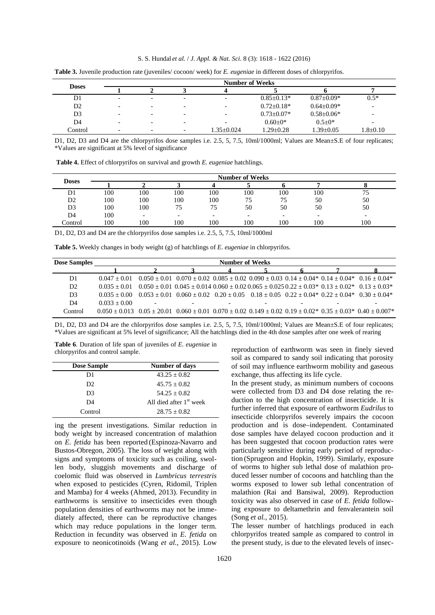|                | <b>Number of Weeks</b>   |                          |                          |                          |                  |                   |                          |  |
|----------------|--------------------------|--------------------------|--------------------------|--------------------------|------------------|-------------------|--------------------------|--|
| <b>Doses</b>   |                          |                          |                          |                          |                  |                   |                          |  |
| D1             | $\overline{\phantom{a}}$ | $\overline{\phantom{0}}$ | $\overline{\phantom{0}}$ |                          | $0.85 \pm 0.13*$ | $0.87 \pm 0.09^*$ | $0.5*$                   |  |
| D <sub>2</sub> | $\overline{\phantom{0}}$ | $\overline{\phantom{0}}$ | $\overline{\phantom{0}}$ | $\overline{\phantom{0}}$ | $0.72 + 0.18*$   | $0.64 \pm 0.09*$  | $\overline{\phantom{a}}$ |  |
| D <sub>3</sub> | $\overline{\phantom{a}}$ | $\overline{\phantom{0}}$ | $\overline{\phantom{0}}$ |                          | $0.73 \pm 0.07*$ | $0.58 \pm 0.06*$  | -                        |  |
| D4             | $\overline{\phantom{0}}$ | $\overline{\phantom{0}}$ | $\overline{\phantom{0}}$ |                          | $0.60 \pm 0^*$   | $0.5 \pm 0^*$     | $\overline{\phantom{a}}$ |  |
| Control        | $\overline{\phantom{0}}$ | $\overline{\phantom{0}}$ | $\overline{\phantom{0}}$ | $1.35 \pm 0.024$         | $1.29 \pm 0.28$  | $1.39 \pm 0.05$   | $1.8 \pm 0.10$           |  |

**Table 3.** Juvenile production rate (juveniles/ cocoon/ week) for *E. eugeniae* in different doses of chlorpyrifos.

D1, D2, D3 and D4 are the chlorpyrifos dose samples i.e. 2.5, 5, 7.5, 10ml/1000ml; Values are Mean±S.E of four replicates; \*Values are significant at 5% level of significance

 **Table 4.** Effect of chlorpyrifos on survival and growth *E. eugeniae* hatchlings.

|              | <b>Number of Weeks</b> |                          |                          |     |                          |     |                          |     |  |
|--------------|------------------------|--------------------------|--------------------------|-----|--------------------------|-----|--------------------------|-----|--|
| <b>Doses</b> |                        |                          |                          |     |                          |     |                          |     |  |
| D1           | 100                    | 100                      | 100                      | 100 | 100                      | 100 | 100                      | 75  |  |
| D2           | 100                    | 100                      | 100                      | 100 | 75                       | 75  | 50                       | 50  |  |
| D3           | 100                    | 100                      | 75                       | 75  | 50                       | 50  | 50                       | 50  |  |
| D4           | 100                    | $\overline{\phantom{0}}$ | $\overline{\phantom{0}}$ |     | $\overline{\phantom{a}}$ | -   | $\overline{\phantom{0}}$ |     |  |
| .'ontrol     | 100                    | 100                      | 100                      | 100 | 100                      | 100 | 100                      | 100 |  |

D1, D2, D3 and D4 are the chlorpyrifos dose samples i.e. 2.5, 5, 7.5, 10ml/1000ml

|  |  | Table 5. Weekly changes in body weight (g) of hatchlings of E. eugeniae in chlorpyrifos. |
|--|--|------------------------------------------------------------------------------------------|
|  |  |                                                                                          |

| <b>Dose Samples</b> | <b>Number of Weeks</b>                                                                                                                     |  |                                                                                                                                                          |  |  |  |                          |
|---------------------|--------------------------------------------------------------------------------------------------------------------------------------------|--|----------------------------------------------------------------------------------------------------------------------------------------------------------|--|--|--|--------------------------|
|                     |                                                                                                                                            |  |                                                                                                                                                          |  |  |  |                          |
| D1                  | $0.047 + 0.01$                                                                                                                             |  | $0.050 \pm 0.01$ $0.070 \pm 0.02$ $0.085 \pm 0.02$ $0.090 \pm 0.03$ $0.14 \pm 0.04$ $0.14 \pm 0.04$ $0.16 \pm 0.04$ $0.16 \pm 0.04$                      |  |  |  |                          |
| D <sub>2</sub>      | $0.035 + 0.01$                                                                                                                             |  | $0.050 \pm 0.01$ $0.045 \pm 0.014$ $0.060 \pm 0.02$ $0.065 \pm 0.025$ $0.22 \pm 0.03$ <sup>*</sup> $0.13 + 0.02$ <sup>*</sup> $0.13 + 0.03$ <sup>*</sup> |  |  |  |                          |
| D <sub>3</sub>      | $0.035 + 0.00$                                                                                                                             |  | $0.053 \pm 0.01$ $0.060 \pm 0.02$ $0.20 \pm 0.05$ $0.18 \pm 0.05$ $0.22 \pm 0.04$ $0.22 \pm 0.04$ $0.30 \pm 0.04$ $0.30 \pm 0.04$                        |  |  |  |                          |
| D <sub>4</sub>      | $0.033 + 0.00$                                                                                                                             |  | $\overline{\phantom{0}}$                                                                                                                                 |  |  |  | $\overline{\phantom{0}}$ |
| Control             | $0.050 \pm 0.013$ $0.05 \pm 20.01$ $0.060 \pm 0.01$ $0.070 \pm 0.02$ $0.149 \pm 0.02$ $0.19 \pm 0.02$ $0.35 \pm 0.03$ $0.40 \pm 0.007$ $*$ |  |                                                                                                                                                          |  |  |  |                          |

D1, D2, D3 and D4 are the chlorpyrifos dose samples i.e. 2.5, 5, 7.5, 10ml/1000ml; Values are Mean±S.E of four replicates; \*Values are significant at 5% level of significance; All the hatchlings died in the 4th dose samples after one week of rearing

**Table 6**. Duration of life span of juveniles of *E. eugeniae* in chlorpyrifos and control sample.

| <b>Dose Sample</b> | Number of days                      |
|--------------------|-------------------------------------|
| D1                 | $43.25 + 0.82$                      |
| D <sub>2</sub>     | $45.75 \pm 0.82$                    |
| D3                 | $54.25 + 0.82$                      |
| D4                 | All died after 1 <sup>st</sup> week |
| Control            | $28.75 + 0.82$                      |

ing the present investigations. Similar reduction in body weight by increased concentration of malathion on *E. fetida* has been reported (Espinoza-Navarro and Bustos-Obregon, 2005). The loss of weight along with signs and symptoms of toxicity such as coiling, swollen body, sluggish movements and discharge of coelomic fluid was observed in *Lumbricus terrestris*  when exposed to pesticides (Cyren, Ridomil, Triplen and Mamba) for 4 weeks (Ahmed, 2013). Fecundity in earthworms is sensitive to insecticides even though population densities of earthworms may not be immediately affected, there can be reproductive changes which may reduce populations in the longer term. Reduction in fecundity was observed in *E. fetida* on exposure to neonicotinoids (Wang *et al.*, 2015). Low

reproduction of earthworm was seen in finely sieved soil as compared to sandy soil indicating that porosity of soil may influence earthworm mobility and gaseous exchange, thus affecting its life cycle.

In the present study, as minimum numbers of cocoons were collected from D3 and D4 dose relating the reduction to the high concentration of insecticide. It is further inferred that exposure of earthworm *Eudrilus* to insecticide chlorpyrifos severely impairs the cocoon production and is dose–independent. Contaminated dose samples have delayed cocoon production and it has been suggested that cocoon production rates were particularly sensitive during early period of reproduction (Sprugeon and Hopkin, 1999). Similarly, exposure of worms to higher sub lethal dose of malathion produced lesser number of cocoons and hatchling than the worms exposed to lower sub lethal concentration of malathion (Rai and Bansiwal, 2009). Reproduction toxicity was also observed in case of *E. fetida* following exposure to deltamethrin and fenvalerantein soil (Song *et al.,* 2015).

The lesser number of hatchlings produced in each chlorpyrifos treated sample as compared to control in the present study, is due to the elevated levels of insec-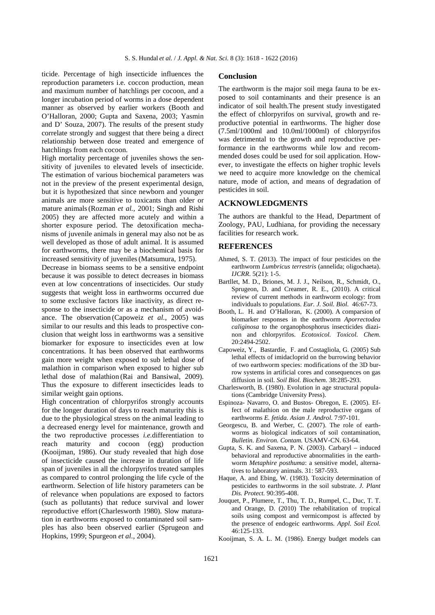ticide. Percentage of high insecticide influences the reproduction parameters i.e. coccon production, mean and maximum number of hatchlings per cocoon, and a longer incubation period of worms in a dose dependent manner as observed by earlier workers (Booth and O'Halloran, 2000; Gupta and Saxena, 2003; Yasmin and D' Souza, 2007). The results of the present study correlate strongly and suggest that there being a direct relationship between dose treated and emergence of hatchlings from each cocoon.

High mortality percentage of juveniles shows the sensitivity of juveniles to elevated levels of insecticide. The estimation of various biochemical parameters was not in the preview of the present experimental design, but it is hypothesized that since newborn and younger animals are more sensitive to toxicants than older or mature animals(Rozman *et al.*, 2001; Singh and Rishi 2005) they are affected more acutely and within a shorter exposure period. The detoxification mechanisms of juvenile animals in general may also not be as well developed as those of adult animal. It is assumed for earthworms, there may be a biochemical basis for increased sensitivity of juveniles(Matsumura, 1975).

Decrease in biomass seems to be a sensitive endpoint because it was possible to detect decreases in biomass even at low concentrations of insecticides. Our study suggests that weight loss in earthworms occurred due to some exclusive factors like inactivity, as direct response to the insecticide or as a mechanism of avoidance. The observation (Capoweiz *et al.*, 2005) was similar to our results and this leads to prospective conclusion that weight loss in earthworms was a sensitive biomarker for exposure to insecticides even at low concentrations. It has been observed that earthworms gain more weight when exposed to sub lethal dose of malathion in comparison when exposed to higher sub lethal dose of malathion (Rai and Bansiwal, 2009). Thus the exposure to different insecticides leads to similar weight gain options.

High concentration of chlorpyrifos strongly accounts for the longer duration of days to reach maturity this is due to the physiological stress on the animal leading to a decreased energy level for maintenance, growth and the two reproductive processes *i.e.*differentiation to reach maturity and cocoon (egg) production (Kooijman, 1986). Our study revealed that high dose of insecticide caused the increase in duration of life span of juveniles in all the chlorpyrifos treated samples as compared to control prolonging the life cycle of the earthworm. Selection of life history parameters can be of relevance when populations are exposed to factors (such as pollutants) that reduce survival and lower reproductive effort (Charlesworth 1980). Slow maturation in earthworms exposed to contaminated soil samples has also been observed earlier (Sprugeon and Hopkins, 1999; Spurgeon *et al.*, 2004).

### **Conclusion**

The earthworm is the major soil mega fauna to be exposed to soil contaminants and their presence is an indicator of soil health.The present study investigated the effect of chlorpyrifos on survival, growth and reproductive potential in earthworms. The higher dose (7.5ml/1000ml and 10.0ml/1000ml) of chlorpyrifos was detrimental to the growth and reproductive performance in the earthworms while low and recommended doses could be used for soil application. However, to investigate the effects on higher trophic levels we need to acquire more knowledge on the chemical nature, mode of action, and means of degradation of pesticides in soil.

## **ACKNOWLEDGMENTS**

The authors are thankful to the Head, Department of Zoology, PAU, Ludhiana, for providing the necessary facilities for research work.

#### **REFERENCES**

- Ahmed, S. T. (2013). The impact of four pesticides on the earthworm *Lumbricus terrestris* (annelida; oligochaeta). *IJCRR*. 5(21): 1-5.
- Bartllet, M. D., Briones, M. J. J., Neilson, R., Schmidt, O., Sprugeon, D. and Creamer, R. E., (2010). A critical review of current methods in earthworm ecology: from individuals to populations. *Eur. J. Soil. Biol.* 46:67-73.
- Booth, L. H. and O'Halloran, K. (2000). A comparsion of biomarker responses in the earthworm *Aporrectodea caliginosa* to the organophosphorus insecticides diazinon and chlorpyrifos. *Ecotoxicol. Toxicol. Chem.*  20:2494-2502.
- Capoweiz, Y., Bastardie, F. and Costagliola, G. (2005) Sub lethal effects of imidacloprid on the burrowing behavior of two earthworm species: modifications of the 3D burrow systems in artificial cores and consequences on gas diffusion in soil. *Soil Biol. Biochem.* 38:285-293.
- Charlesworth, B. (1980). Evolution in age structural populations (Cambridge University Press).
- Espinoza- Navarro, O. and Bustos- Obregon, E. (2005). Effect of malathion on the male reproductive organs of earthworms *E. fetida. Asian J. Androl.* 7:97-101.
- Georgescu, B. and Werber, C. (2007). The role of earthworms as biological indicators of soil contamination, *Bulletin. Environ. Contam.* USAMV-CN. 63-64.
- Gupta, S. K. and Saxena, P. N. (2003). Carbaryl induced behavioral and reproductive abnormalities in the earthworm *Metaphire posthuma*: a sensitive model, alternatives to laboratory animals. 31: 587-593.
- Haque, A. and Ebing, W. (1983). Toxicity determination of pesticides to earthworms in the soil substrate. *J. Plant Dis. Protect.* 90:395-408.
- Jouquet, P., Plumere, T., Thu, T. D., Rumpel, C., Duc, T. T. and Orange, D. (2010) The rehabilitation of tropical soils using compost and vermicompost is affected by the presence of endogeic earthworms. *Appl. Soil Ecol.*  46:125-133.
- Kooijman, S. A. L. M. (1986). Energy budget models can